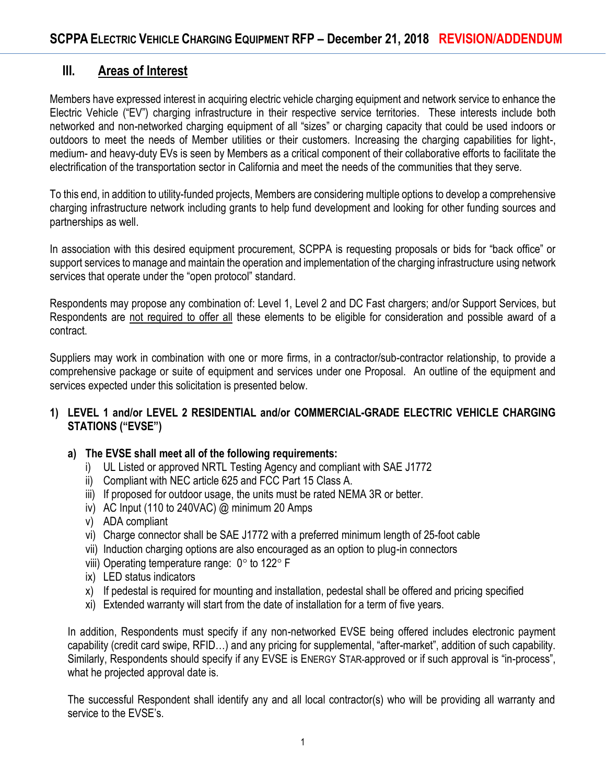# **III. Areas of Interest**

Members have expressed interest in acquiring electric vehicle charging equipment and network service to enhance the Electric Vehicle ("EV") charging infrastructure in their respective service territories. These interests include both networked and non-networked charging equipment of all "sizes" or charging capacity that could be used indoors or outdoors to meet the needs of Member utilities or their customers. Increasing the charging capabilities for light-, medium- and heavy-duty EVs is seen by Members as a critical component of their collaborative efforts to facilitate the electrification of the transportation sector in California and meet the needs of the communities that they serve.

To this end, in addition to utility-funded projects, Members are considering multiple options to develop a comprehensive charging infrastructure network including grants to help fund development and looking for other funding sources and partnerships as well.

In association with this desired equipment procurement, SCPPA is requesting proposals or bids for "back office" or support services to manage and maintain the operation and implementation of the charging infrastructure using network services that operate under the "open protocol" standard.

Respondents may propose any combination of: Level 1, Level 2 and DC Fast chargers; and/or Support Services, but Respondents are not required to offer all these elements to be eligible for consideration and possible award of a contract.

Suppliers may work in combination with one or more firms, in a contractor/sub-contractor relationship, to provide a comprehensive package or suite of equipment and services under one Proposal. An outline of the equipment and services expected under this solicitation is presented below.

## **1) LEVEL 1 and/or LEVEL 2 RESIDENTIAL and/or COMMERCIAL-GRADE ELECTRIC VEHICLE CHARGING STATIONS ("EVSE")**

## **a) The EVSE shall meet all of the following requirements:**

- i) UL Listed or approved NRTL Testing Agency and compliant with SAE J1772
- ii) Compliant with NEC article 625 and FCC Part 15 Class A.
- iii) If proposed for outdoor usage, the units must be rated NEMA 3R or better.
- iv) AC Input (110 to 240VAC)  $@$  minimum 20 Amps
- v) ADA compliant
- vi) Charge connector shall be SAE J1772 with a preferred minimum length of 25-foot cable
- vii) Induction charging options are also encouraged as an option to plug-in connectors
- viii) Operating temperature range:  $0^\circ$  to 122 $^\circ$  F
- ix) LED status indicators
- x) If pedestal is required for mounting and installation, pedestal shall be offered and pricing specified
- xi) Extended warranty will start from the date of installation for a term of five years.

In addition, Respondents must specify if any non-networked EVSE being offered includes electronic payment capability (credit card swipe, RFID…) and any pricing for supplemental, "after-market", addition of such capability. Similarly, Respondents should specify if any EVSE is ENERGY STAR-approved or if such approval is "in-process", what he projected approval date is.

The successful Respondent shall identify any and all local contractor(s) who will be providing all warranty and service to the EVSE's.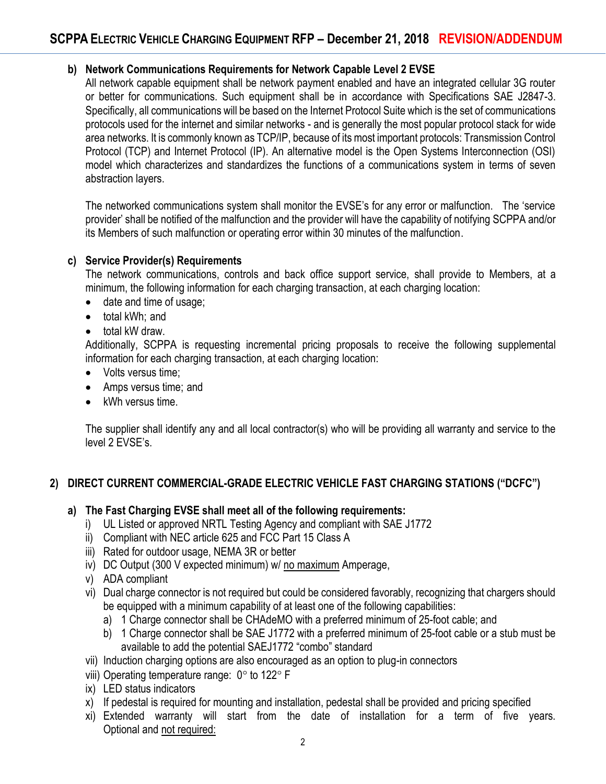## **b) Network Communications Requirements for Network Capable Level 2 EVSE**

All network capable equipment shall be network payment enabled and have an integrated cellular 3G router or better for communications. Such equipment shall be in accordance with Specifications SAE J2847-3. Specifically, all communications will be based on the Internet Protocol Suite which is the set of communications protocols used for the internet and similar networks - and is generally the most popular protocol stack for wide area networks. It is commonly known as TCP/IP, because of its most important protocols: Transmission Control Protocol (TCP) and Internet Protocol (IP). An alternative model is the Open Systems Interconnection (OSI) model which characterizes and standardizes the functions of a communications system in terms of seven abstraction layers.

The networked communications system shall monitor the EVSE's for any error or malfunction. The 'service provider' shall be notified of the malfunction and the provider will have the capability of notifying SCPPA and/or its Members of such malfunction or operating error within 30 minutes of the malfunction.

#### **c) Service Provider(s) Requirements**

The network communications, controls and back office support service, shall provide to Members, at a minimum, the following information for each charging transaction, at each charging location:

- date and time of usage;
- total kWh; and
- total kW draw.

Additionally, SCPPA is requesting incremental pricing proposals to receive the following supplemental information for each charging transaction, at each charging location:

- Volts versus time:
- Amps versus time; and
- kWh versus time.

The supplier shall identify any and all local contractor(s) who will be providing all warranty and service to the level 2 EVSE's.

## **2) DIRECT CURRENT COMMERCIAL-GRADE ELECTRIC VEHICLE FAST CHARGING STATIONS ("DCFC")**

#### **a) The Fast Charging EVSE shall meet all of the following requirements:**

- i) UL Listed or approved NRTL Testing Agency and compliant with SAE J1772
- ii) Compliant with NEC article 625 and FCC Part 15 Class A
- iii) Rated for outdoor usage, NEMA 3R or better
- iv) DC Output (300 V expected minimum) w/ no maximum Amperage,
- v) ADA compliant
- vi) Dual charge connector is not required but could be considered favorably, recognizing that chargers should be equipped with a minimum capability of at least one of the following capabilities:
	- a) 1 Charge connector shall be CHAdeMO with a preferred minimum of 25-foot cable; and
	- b) 1 Charge connector shall be SAE J1772 with a preferred minimum of 25-foot cable or a stub must be available to add the potential SAEJ1772 "combo" standard
- vii) Induction charging options are also encouraged as an option to plug-in connectors
- viii) Operating temperature range:  $0^\circ$  to 122 $^\circ$  F
- ix) LED status indicators
- x) If pedestal is required for mounting and installation, pedestal shall be provided and pricing specified
- xi) Extended warranty will start from the date of installation for a term of five years. Optional and not required: